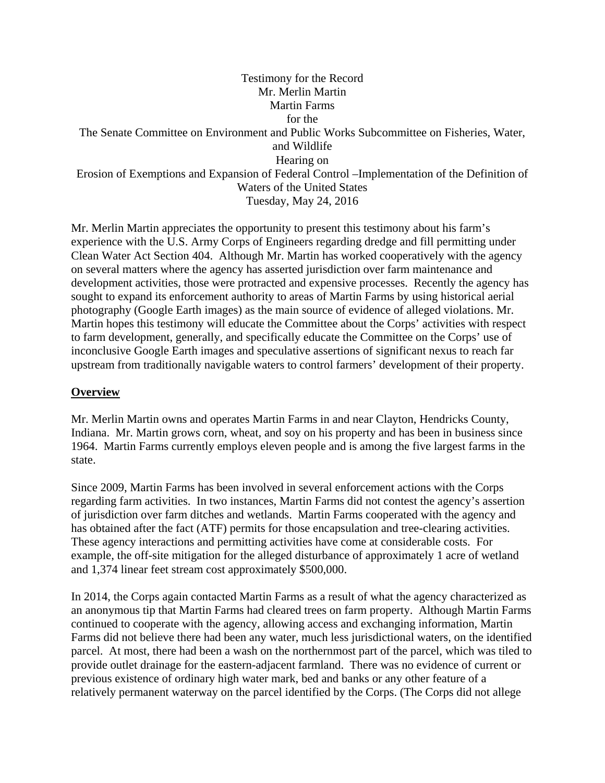## Testimony for the Record Mr. Merlin Martin Martin Farms for the The Senate Committee on Environment and Public Works Subcommittee on Fisheries, Water, and Wildlife Hearing on Erosion of Exemptions and Expansion of Federal Control –Implementation of the Definition of Waters of the United States Tuesday, May 24, 2016

Mr. Merlin Martin appreciates the opportunity to present this testimony about his farm's experience with the U.S. Army Corps of Engineers regarding dredge and fill permitting under Clean Water Act Section 404. Although Mr. Martin has worked cooperatively with the agency on several matters where the agency has asserted jurisdiction over farm maintenance and development activities, those were protracted and expensive processes. Recently the agency has sought to expand its enforcement authority to areas of Martin Farms by using historical aerial photography (Google Earth images) as the main source of evidence of alleged violations. Mr. Martin hopes this testimony will educate the Committee about the Corps' activities with respect to farm development, generally, and specifically educate the Committee on the Corps' use of inconclusive Google Earth images and speculative assertions of significant nexus to reach far upstream from traditionally navigable waters to control farmers' development of their property.

## **Overview**

Mr. Merlin Martin owns and operates Martin Farms in and near Clayton, Hendricks County, Indiana. Mr. Martin grows corn, wheat, and soy on his property and has been in business since 1964. Martin Farms currently employs eleven people and is among the five largest farms in the state.

Since 2009, Martin Farms has been involved in several enforcement actions with the Corps regarding farm activities. In two instances, Martin Farms did not contest the agency's assertion of jurisdiction over farm ditches and wetlands. Martin Farms cooperated with the agency and has obtained after the fact (ATF) permits for those encapsulation and tree-clearing activities. These agency interactions and permitting activities have come at considerable costs. For example, the off-site mitigation for the alleged disturbance of approximately 1 acre of wetland and 1,374 linear feet stream cost approximately \$500,000.

In 2014, the Corps again contacted Martin Farms as a result of what the agency characterized as an anonymous tip that Martin Farms had cleared trees on farm property. Although Martin Farms continued to cooperate with the agency, allowing access and exchanging information, Martin Farms did not believe there had been any water, much less jurisdictional waters, on the identified parcel. At most, there had been a wash on the northernmost part of the parcel, which was tiled to provide outlet drainage for the eastern-adjacent farmland. There was no evidence of current or previous existence of ordinary high water mark, bed and banks or any other feature of a relatively permanent waterway on the parcel identified by the Corps. (The Corps did not allege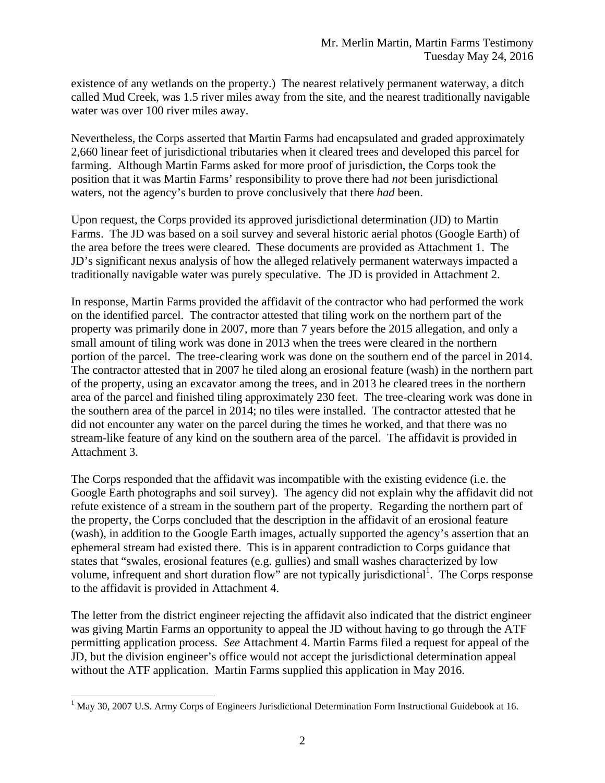existence of any wetlands on the property.) The nearest relatively permanent waterway, a ditch called Mud Creek, was 1.5 river miles away from the site, and the nearest traditionally navigable water was over 100 river miles away.

Nevertheless, the Corps asserted that Martin Farms had encapsulated and graded approximately 2,660 linear feet of jurisdictional tributaries when it cleared trees and developed this parcel for farming. Although Martin Farms asked for more proof of jurisdiction, the Corps took the position that it was Martin Farms' responsibility to prove there had *not* been jurisdictional waters, not the agency's burden to prove conclusively that there *had* been.

Upon request, the Corps provided its approved jurisdictional determination (JD) to Martin Farms. The JD was based on a soil survey and several historic aerial photos (Google Earth) of the area before the trees were cleared. These documents are provided as Attachment 1. The JD's significant nexus analysis of how the alleged relatively permanent waterways impacted a traditionally navigable water was purely speculative. The JD is provided in Attachment 2.

In response, Martin Farms provided the affidavit of the contractor who had performed the work on the identified parcel. The contractor attested that tiling work on the northern part of the property was primarily done in 2007, more than 7 years before the 2015 allegation, and only a small amount of tiling work was done in 2013 when the trees were cleared in the northern portion of the parcel. The tree-clearing work was done on the southern end of the parcel in 2014. The contractor attested that in 2007 he tiled along an erosional feature (wash) in the northern part of the property, using an excavator among the trees, and in 2013 he cleared trees in the northern area of the parcel and finished tiling approximately 230 feet. The tree-clearing work was done in the southern area of the parcel in 2014; no tiles were installed. The contractor attested that he did not encounter any water on the parcel during the times he worked, and that there was no stream-like feature of any kind on the southern area of the parcel. The affidavit is provided in Attachment 3.

The Corps responded that the affidavit was incompatible with the existing evidence (i.e. the Google Earth photographs and soil survey). The agency did not explain why the affidavit did not refute existence of a stream in the southern part of the property. Regarding the northern part of the property, the Corps concluded that the description in the affidavit of an erosional feature (wash), in addition to the Google Earth images, actually supported the agency's assertion that an ephemeral stream had existed there. This is in apparent contradiction to Corps guidance that states that "swales, erosional features (e.g. gullies) and small washes characterized by low volume, infrequent and short duration flow" are not typically jurisdictional<sup>1</sup>. The Corps response to the affidavit is provided in Attachment 4.

The letter from the district engineer rejecting the affidavit also indicated that the district engineer was giving Martin Farms an opportunity to appeal the JD without having to go through the ATF permitting application process. *See* Attachment 4. Martin Farms filed a request for appeal of the JD, but the division engineer's office would not accept the jurisdictional determination appeal without the ATF application. Martin Farms supplied this application in May 2016.

 $\overline{a}$ <sup>1</sup> May 30, 2007 U.S. Army Corps of Engineers Jurisdictional Determination Form Instructional Guidebook at 16.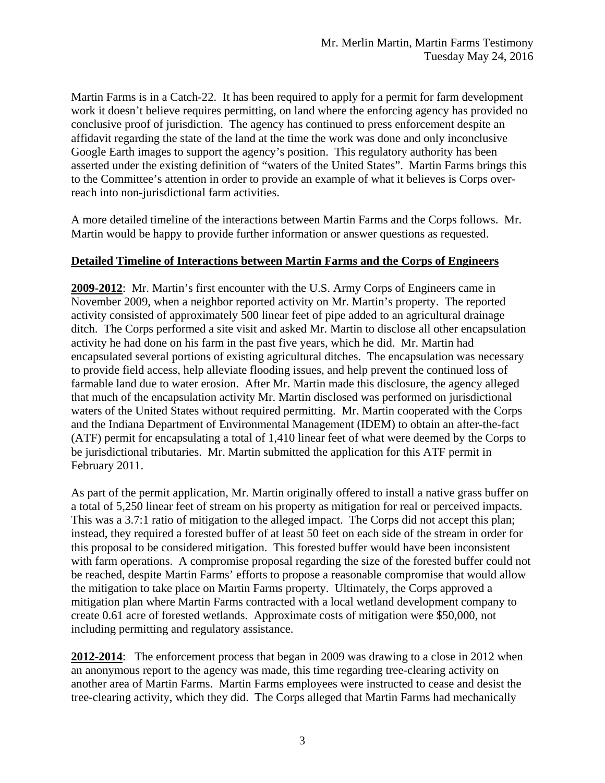Martin Farms is in a Catch-22. It has been required to apply for a permit for farm development work it doesn't believe requires permitting, on land where the enforcing agency has provided no conclusive proof of jurisdiction. The agency has continued to press enforcement despite an affidavit regarding the state of the land at the time the work was done and only inconclusive Google Earth images to support the agency's position. This regulatory authority has been asserted under the existing definition of "waters of the United States". Martin Farms brings this to the Committee's attention in order to provide an example of what it believes is Corps overreach into non-jurisdictional farm activities.

A more detailed timeline of the interactions between Martin Farms and the Corps follows. Mr. Martin would be happy to provide further information or answer questions as requested.

## **Detailed Timeline of Interactions between Martin Farms and the Corps of Engineers**

**2009-2012**: Mr. Martin's first encounter with the U.S. Army Corps of Engineers came in November 2009, when a neighbor reported activity on Mr. Martin's property. The reported activity consisted of approximately 500 linear feet of pipe added to an agricultural drainage ditch. The Corps performed a site visit and asked Mr. Martin to disclose all other encapsulation activity he had done on his farm in the past five years, which he did. Mr. Martin had encapsulated several portions of existing agricultural ditches. The encapsulation was necessary to provide field access, help alleviate flooding issues, and help prevent the continued loss of farmable land due to water erosion. After Mr. Martin made this disclosure, the agency alleged that much of the encapsulation activity Mr. Martin disclosed was performed on jurisdictional waters of the United States without required permitting. Mr. Martin cooperated with the Corps and the Indiana Department of Environmental Management (IDEM) to obtain an after-the-fact (ATF) permit for encapsulating a total of 1,410 linear feet of what were deemed by the Corps to be jurisdictional tributaries. Mr. Martin submitted the application for this ATF permit in February 2011.

As part of the permit application, Mr. Martin originally offered to install a native grass buffer on a total of 5,250 linear feet of stream on his property as mitigation for real or perceived impacts. This was a 3.7:1 ratio of mitigation to the alleged impact. The Corps did not accept this plan; instead, they required a forested buffer of at least 50 feet on each side of the stream in order for this proposal to be considered mitigation. This forested buffer would have been inconsistent with farm operations. A compromise proposal regarding the size of the forested buffer could not be reached, despite Martin Farms' efforts to propose a reasonable compromise that would allow the mitigation to take place on Martin Farms property. Ultimately, the Corps approved a mitigation plan where Martin Farms contracted with a local wetland development company to create 0.61 acre of forested wetlands. Approximate costs of mitigation were \$50,000, not including permitting and regulatory assistance.

**2012-2014**: The enforcement process that began in 2009 was drawing to a close in 2012 when an anonymous report to the agency was made, this time regarding tree-clearing activity on another area of Martin Farms. Martin Farms employees were instructed to cease and desist the tree-clearing activity, which they did. The Corps alleged that Martin Farms had mechanically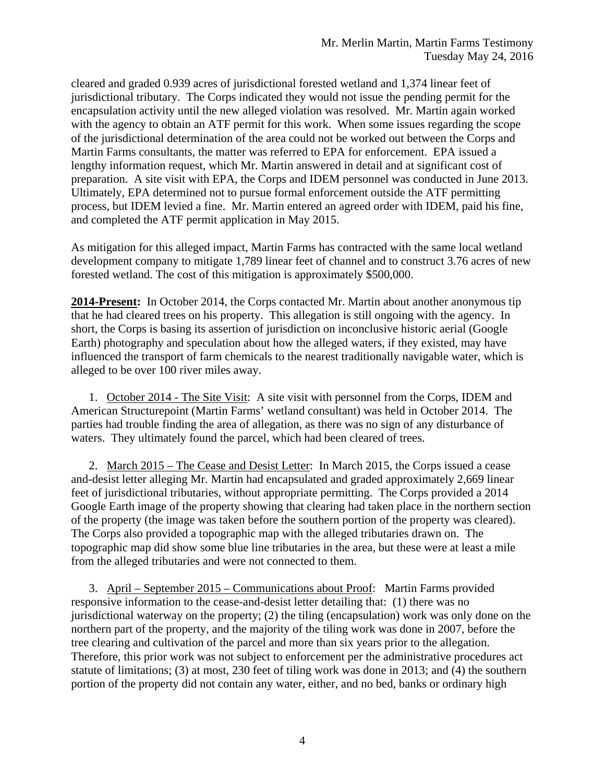cleared and graded 0.939 acres of jurisdictional forested wetland and 1,374 linear feet of jurisdictional tributary. The Corps indicated they would not issue the pending permit for the encapsulation activity until the new alleged violation was resolved. Mr. Martin again worked with the agency to obtain an ATF permit for this work. When some issues regarding the scope of the jurisdictional determination of the area could not be worked out between the Corps and Martin Farms consultants, the matter was referred to EPA for enforcement. EPA issued a lengthy information request, which Mr. Martin answered in detail and at significant cost of preparation. A site visit with EPA, the Corps and IDEM personnel was conducted in June 2013. Ultimately, EPA determined not to pursue formal enforcement outside the ATF permitting process, but IDEM levied a fine. Mr. Martin entered an agreed order with IDEM, paid his fine, and completed the ATF permit application in May 2015.

As mitigation for this alleged impact, Martin Farms has contracted with the same local wetland development company to mitigate 1,789 linear feet of channel and to construct 3.76 acres of new forested wetland. The cost of this mitigation is approximately \$500,000.

**2014-Present:** In October 2014, the Corps contacted Mr. Martin about another anonymous tip that he had cleared trees on his property. This allegation is still ongoing with the agency. In short, the Corps is basing its assertion of jurisdiction on inconclusive historic aerial (Google Earth) photography and speculation about how the alleged waters, if they existed, may have influenced the transport of farm chemicals to the nearest traditionally navigable water, which is alleged to be over 100 river miles away.

1. October 2014 - The Site Visit: A site visit with personnel from the Corps, IDEM and American Structurepoint (Martin Farms' wetland consultant) was held in October 2014. The parties had trouble finding the area of allegation, as there was no sign of any disturbance of waters. They ultimately found the parcel, which had been cleared of trees.

2. March 2015 – The Cease and Desist Letter: In March 2015, the Corps issued a cease and-desist letter alleging Mr. Martin had encapsulated and graded approximately 2,669 linear feet of jurisdictional tributaries, without appropriate permitting. The Corps provided a 2014 Google Earth image of the property showing that clearing had taken place in the northern section of the property (the image was taken before the southern portion of the property was cleared). The Corps also provided a topographic map with the alleged tributaries drawn on. The topographic map did show some blue line tributaries in the area, but these were at least a mile from the alleged tributaries and were not connected to them.

3. April – September 2015 – Communications about Proof: Martin Farms provided responsive information to the cease-and-desist letter detailing that: (1) there was no jurisdictional waterway on the property; (2) the tiling (encapsulation) work was only done on the northern part of the property, and the majority of the tiling work was done in 2007, before the tree clearing and cultivation of the parcel and more than six years prior to the allegation. Therefore, this prior work was not subject to enforcement per the administrative procedures act statute of limitations; (3) at most, 230 feet of tiling work was done in 2013; and (4) the southern portion of the property did not contain any water, either, and no bed, banks or ordinary high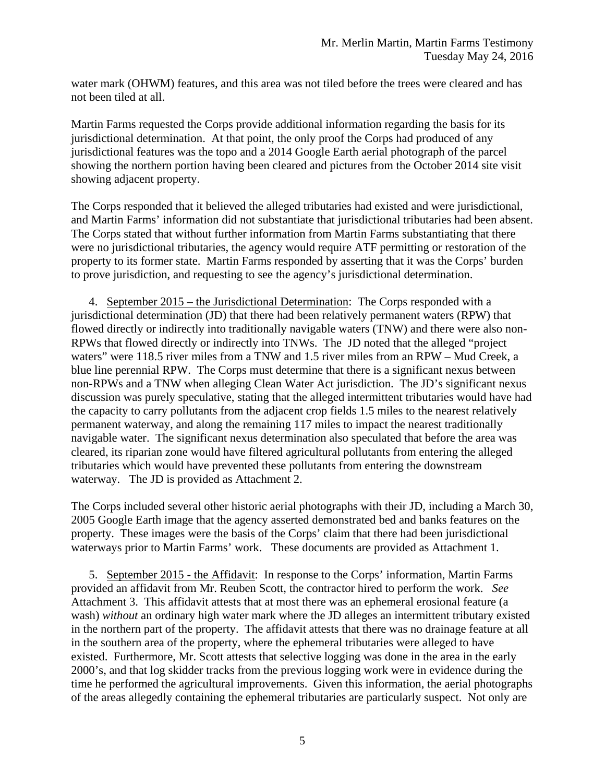water mark (OHWM) features, and this area was not tiled before the trees were cleared and has not been tiled at all.

Martin Farms requested the Corps provide additional information regarding the basis for its jurisdictional determination. At that point, the only proof the Corps had produced of any jurisdictional features was the topo and a 2014 Google Earth aerial photograph of the parcel showing the northern portion having been cleared and pictures from the October 2014 site visit showing adjacent property.

The Corps responded that it believed the alleged tributaries had existed and were jurisdictional, and Martin Farms' information did not substantiate that jurisdictional tributaries had been absent. The Corps stated that without further information from Martin Farms substantiating that there were no jurisdictional tributaries, the agency would require ATF permitting or restoration of the property to its former state. Martin Farms responded by asserting that it was the Corps' burden to prove jurisdiction, and requesting to see the agency's jurisdictional determination.

4. September 2015 – the Jurisdictional Determination: The Corps responded with a jurisdictional determination (JD) that there had been relatively permanent waters (RPW) that flowed directly or indirectly into traditionally navigable waters (TNW) and there were also non-RPWs that flowed directly or indirectly into TNWs. The JD noted that the alleged "project waters" were 118.5 river miles from a TNW and 1.5 river miles from an RPW – Mud Creek, a blue line perennial RPW. The Corps must determine that there is a significant nexus between non-RPWs and a TNW when alleging Clean Water Act jurisdiction. The JD's significant nexus discussion was purely speculative, stating that the alleged intermittent tributaries would have had the capacity to carry pollutants from the adjacent crop fields 1.5 miles to the nearest relatively permanent waterway, and along the remaining 117 miles to impact the nearest traditionally navigable water. The significant nexus determination also speculated that before the area was cleared, its riparian zone would have filtered agricultural pollutants from entering the alleged tributaries which would have prevented these pollutants from entering the downstream waterway. The JD is provided as Attachment 2.

The Corps included several other historic aerial photographs with their JD, including a March 30, 2005 Google Earth image that the agency asserted demonstrated bed and banks features on the property. These images were the basis of the Corps' claim that there had been jurisdictional waterways prior to Martin Farms' work. These documents are provided as Attachment 1.

5. September 2015 - the Affidavit: In response to the Corps' information, Martin Farms provided an affidavit from Mr. Reuben Scott, the contractor hired to perform the work. *See*  Attachment 3. This affidavit attests that at most there was an ephemeral erosional feature (a wash) *without* an ordinary high water mark where the JD alleges an intermittent tributary existed in the northern part of the property. The affidavit attests that there was no drainage feature at all in the southern area of the property, where the ephemeral tributaries were alleged to have existed. Furthermore, Mr. Scott attests that selective logging was done in the area in the early 2000's, and that log skidder tracks from the previous logging work were in evidence during the time he performed the agricultural improvements. Given this information, the aerial photographs of the areas allegedly containing the ephemeral tributaries are particularly suspect. Not only are